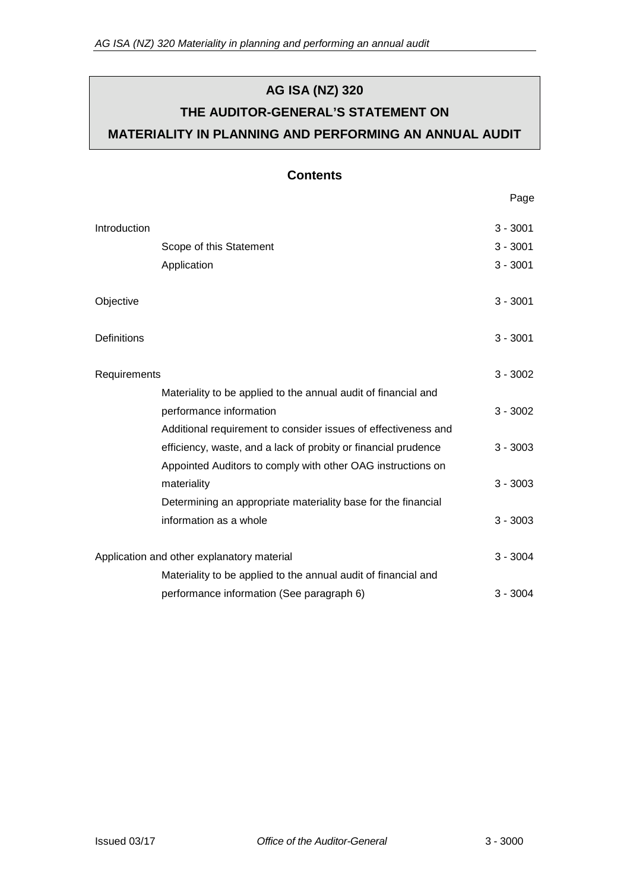# **AG ISA (NZ) 320 THE AUDITOR-GENERAL'S STATEMENT ON MATERIALITY IN PLANNING AND PERFORMING AN ANNUAL AUDIT**

## **Contents**

Page

| Introduction                               |                                                                | $3 - 3001$ |
|--------------------------------------------|----------------------------------------------------------------|------------|
|                                            | Scope of this Statement                                        | $3 - 3001$ |
|                                            | Application                                                    | $3 - 3001$ |
|                                            |                                                                |            |
| Objective                                  |                                                                | $3 - 3001$ |
|                                            |                                                                |            |
| Definitions                                |                                                                | $3 - 3001$ |
| Requirements                               |                                                                | $3 - 3002$ |
|                                            | Materiality to be applied to the annual audit of financial and |            |
|                                            | performance information                                        | $3 - 3002$ |
|                                            | Additional requirement to consider issues of effectiveness and |            |
|                                            | efficiency, waste, and a lack of probity or financial prudence | $3 - 3003$ |
|                                            | Appointed Auditors to comply with other OAG instructions on    |            |
|                                            | materiality                                                    | $3 - 3003$ |
|                                            | Determining an appropriate materiality base for the financial  |            |
|                                            | information as a whole                                         | $3 - 3003$ |
|                                            |                                                                |            |
| Application and other explanatory material |                                                                | $3 - 3004$ |
|                                            | Materiality to be applied to the annual audit of financial and |            |
|                                            | performance information (See paragraph 6)                      | $3 - 3004$ |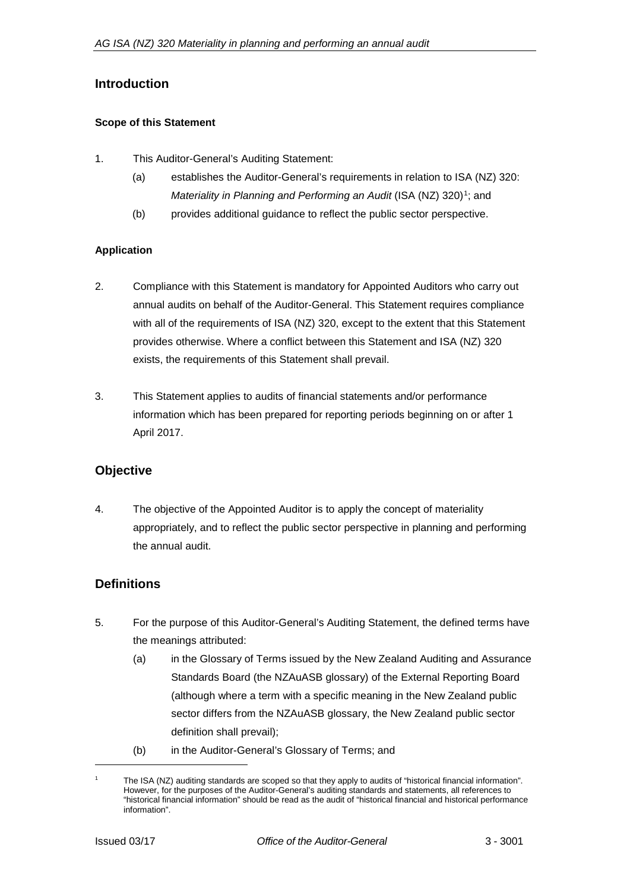## **Introduction**

#### **Scope of this Statement**

- 1. This Auditor-General's Auditing Statement:
	- (a) establishes the Auditor-General's requirements in relation to ISA (NZ) 320: *Materiality in Planning and Performing an Audit* (ISA (NZ) 320)<sup>1</sup>; and
	- (b) provides additional guidance to reflect the public sector perspective.

#### **Application**

- 2. Compliance with this Statement is mandatory for Appointed Auditors who carry out annual audits on behalf of the Auditor-General. This Statement requires compliance with all of the requirements of ISA (NZ) 320, except to the extent that this Statement provides otherwise. Where a conflict between this Statement and ISA (NZ) 320 exists, the requirements of this Statement shall prevail.
- 3. This Statement applies to audits of financial statements and/or performance information which has been prepared for reporting periods beginning on or after 1 April 2017.

## **Objective**

4. The objective of the Appointed Auditor is to apply the concept of materiality appropriately, and to reflect the public sector perspective in planning and performing the annual audit.

## **Definitions**

- 5. For the purpose of this Auditor-General's Auditing Statement, the defined terms have the meanings attributed:
	- (a) in the Glossary of Terms issued by the New Zealand Auditing and Assurance Standards Board (the NZAuASB glossary) of the External Reporting Board (although where a term with a specific meaning in the New Zealand public sector differs from the NZAuASB glossary, the New Zealand public sector definition shall prevail);
	- (b) in the Auditor-General's Glossary of Terms; and

The ISA (NZ) auditing standards are scoped so that they apply to audits of "historical financial information". However, for the purposes of the Auditor-General's auditing standards and statements, all references to "historical financial information" should be read as the audit of "historical financial and historical performance information".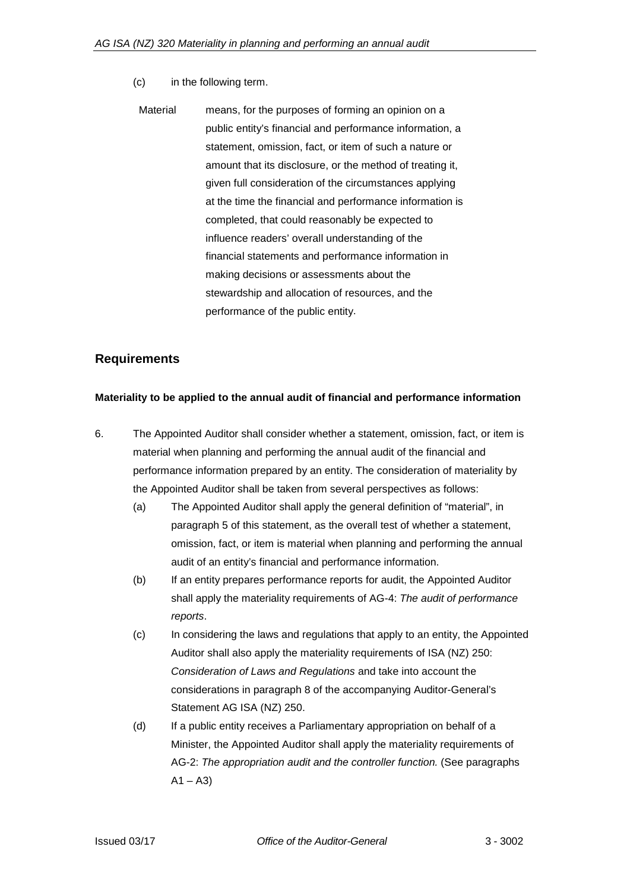- (c) in the following term.
	- Material means, for the purposes of forming an opinion on a public entity's financial and performance information, a statement, omission, fact, or item of such a nature or amount that its disclosure, or the method of treating it, given full consideration of the circumstances applying at the time the financial and performance information is completed, that could reasonably be expected to influence readers' overall understanding of the financial statements and performance information in making decisions or assessments about the stewardship and allocation of resources, and the performance of the public entity.

### **Requirements**

#### **Materiality to be applied to the annual audit of financial and performance information**

- 6. The Appointed Auditor shall consider whether a statement, omission, fact, or item is material when planning and performing the annual audit of the financial and performance information prepared by an entity. The consideration of materiality by the Appointed Auditor shall be taken from several perspectives as follows:
	- (a) The Appointed Auditor shall apply the general definition of "material", in paragraph 5 of this statement, as the overall test of whether a statement, omission, fact, or item is material when planning and performing the annual audit of an entity's financial and performance information.
	- (b) If an entity prepares performance reports for audit, the Appointed Auditor shall apply the materiality requirements of AG-4: *The audit of performance reports*.
	- (c) In considering the laws and regulations that apply to an entity, the Appointed Auditor shall also apply the materiality requirements of ISA (NZ) 250: *Consideration of Laws and Regulations* and take into account the considerations in paragraph 8 of the accompanying Auditor-General's Statement AG ISA (NZ) 250.
	- (d) If a public entity receives a Parliamentary appropriation on behalf of a Minister, the Appointed Auditor shall apply the materiality requirements of AG-2: *The appropriation audit and the controller function.* (See paragraphs  $A1 - A3$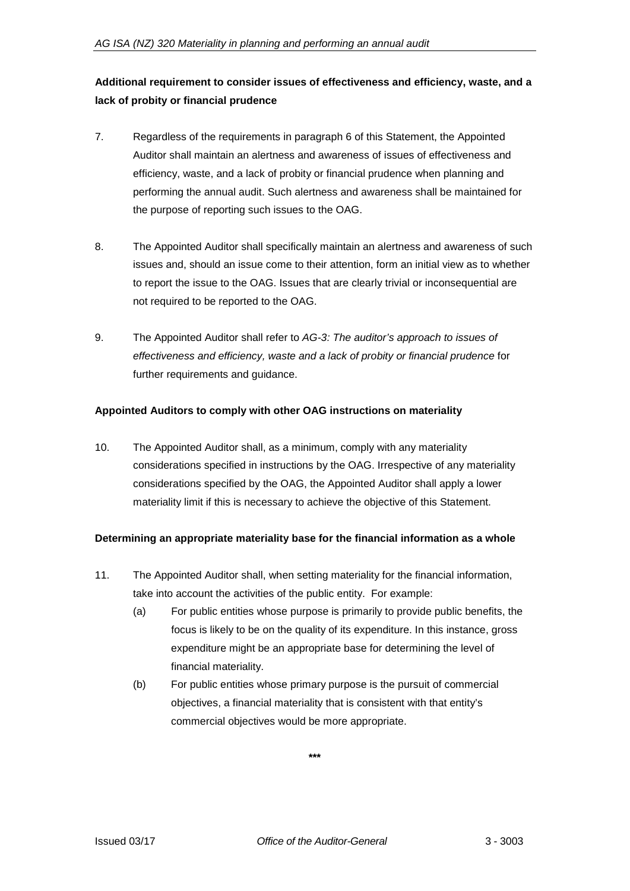# **Additional requirement to consider issues of effectiveness and efficiency, waste, and a lack of probity or financial prudence**

- 7. Regardless of the requirements in paragraph 6 of this Statement, the Appointed Auditor shall maintain an alertness and awareness of issues of effectiveness and efficiency, waste, and a lack of probity or financial prudence when planning and performing the annual audit. Such alertness and awareness shall be maintained for the purpose of reporting such issues to the OAG.
- 8. The Appointed Auditor shall specifically maintain an alertness and awareness of such issues and, should an issue come to their attention, form an initial view as to whether to report the issue to the OAG. Issues that are clearly trivial or inconsequential are not required to be reported to the OAG.
- 9. The Appointed Auditor shall refer to *AG-3: The auditor's approach to issues of effectiveness and efficiency, waste and a lack of probity or financial prudence* for further requirements and guidance.

#### **Appointed Auditors to comply with other OAG instructions on materiality**

10. The Appointed Auditor shall, as a minimum, comply with any materiality considerations specified in instructions by the OAG. Irrespective of any materiality considerations specified by the OAG, the Appointed Auditor shall apply a lower materiality limit if this is necessary to achieve the objective of this Statement.

#### **Determining an appropriate materiality base for the financial information as a whole**

- 11. The Appointed Auditor shall, when setting materiality for the financial information, take into account the activities of the public entity. For example:
	- (a) For public entities whose purpose is primarily to provide public benefits, the focus is likely to be on the quality of its expenditure. In this instance, gross expenditure might be an appropriate base for determining the level of financial materiality.
	- (b) For public entities whose primary purpose is the pursuit of commercial objectives, a financial materiality that is consistent with that entity's commercial objectives would be more appropriate.

**\*\*\***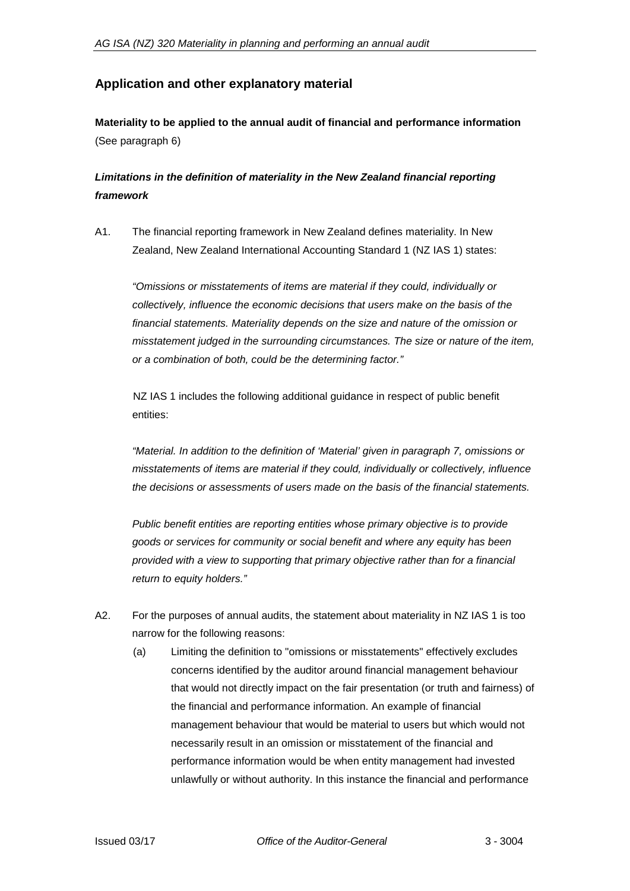# **Application and other explanatory material**

**Materiality to be applied to the annual audit of financial and performance information** (See paragraph 6)

# *Limitations in the definition of materiality in the New Zealand financial reporting framework*

A1. The financial reporting framework in New Zealand defines materiality. In New Zealand, New Zealand International Accounting Standard 1 (NZ IAS 1) states:

*"Omissions or misstatements of items are material if they could, individually or collectively, influence the economic decisions that users make on the basis of the financial statements. Materiality depends on the size and nature of the omission or misstatement judged in the surrounding circumstances. The size or nature of the item, or a combination of both, could be the determining factor."*

NZ IAS 1 includes the following additional guidance in respect of public benefit entities:

*"Material. In addition to the definition of 'Material' given in paragraph 7, omissions or misstatements of items are material if they could, individually or collectively, influence the decisions or assessments of users made on the basis of the financial statements.*

*Public benefit entities are reporting entities whose primary objective is to provide goods or services for community or social benefit and where any equity has been provided with a view to supporting that primary objective rather than for a financial return to equity holders."*

- A2. For the purposes of annual audits, the statement about materiality in NZ IAS 1 is too narrow for the following reasons:
	- (a) Limiting the definition to "omissions or misstatements" effectively excludes concerns identified by the auditor around financial management behaviour that would not directly impact on the fair presentation (or truth and fairness) of the financial and performance information. An example of financial management behaviour that would be material to users but which would not necessarily result in an omission or misstatement of the financial and performance information would be when entity management had invested unlawfully or without authority. In this instance the financial and performance